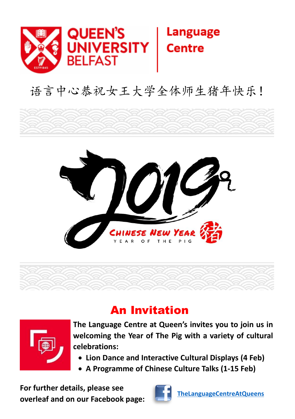

## 语言中心恭祝女王大学全体师生猪年快乐!





## An Invitation



**The Language Centre at Queen's invites you to join us in welcoming the Year of The Pig with a variety of cultural celebrations:**

- **Lion Dance and Interactive Cultural Displays (4 Feb)**
- **A Programme of Chinese Culture Talks (1-15 Feb)**

**For further details, please see overleaf and on our Facebook page:**